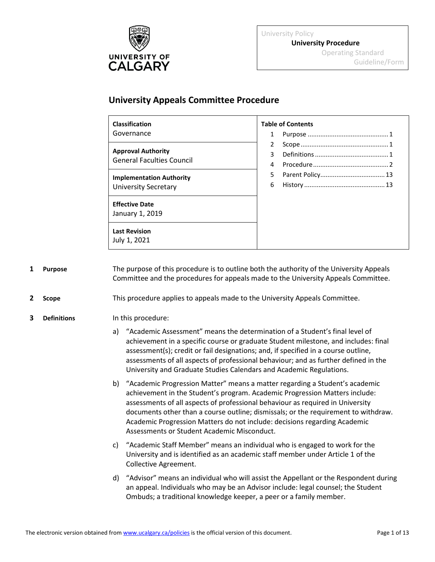

University Policy **University Procedure** Operating Standard Guideline/Form

# **University Appeals Committee Procedure**

| <b>Classification</b>                                         | <b>Table of Contents</b> |
|---------------------------------------------------------------|--------------------------|
| Governance                                                    | 1                        |
|                                                               | 2                        |
| <b>Approval Authority</b><br><b>General Faculties Council</b> | 3                        |
|                                                               | 4                        |
| <b>Implementation Authority</b>                               | 5                        |
| <b>University Secretary</b>                                   | 6                        |
| <b>Effective Date</b><br>January 1, 2019                      |                          |
| <b>Last Revision</b><br>July 1, 2021                          |                          |

<span id="page-0-0"></span>**1 Purpose** The purpose of this procedure is to outline both the authority of the University Appeals Committee and the procedures for appeals made to the University Appeals Committee.

<span id="page-0-1"></span>**2 Scope** This procedure applies to appeals made to the University Appeals Committee.

# <span id="page-0-2"></span>**3 Definitions** In this procedure:

- a) "Academic Assessment" means the determination of a Student's final level of achievement in a specific course or graduate Student milestone, and includes: final assessment(s); credit or fail designations; and, if specified in a course outline, assessments of all aspects of professional behaviour; and as further defined in the University and Graduate Studies Calendars and Academic Regulations.
- b) "Academic Progression Matter" means a matter regarding a Student's academic achievement in the Student's program. Academic Progression Matters include: assessments of all aspects of professional behaviour as required in University documents other than a course outline; dismissals; or the requirement to withdraw. Academic Progression Matters do not include: decisions regarding Academic Assessments or Student Academic Misconduct.
- c) "Academic Staff Member" means an individual who is engaged to work for the University and is identified as an academic staff member under Article 1 of the Collective Agreement.
- d) "Advisor" means an individual who will assist the Appellant or the Respondent during an appeal. Individuals who may be an Advisor include: legal counsel; the Student Ombuds; a traditional knowledge keeper, a peer or a family member.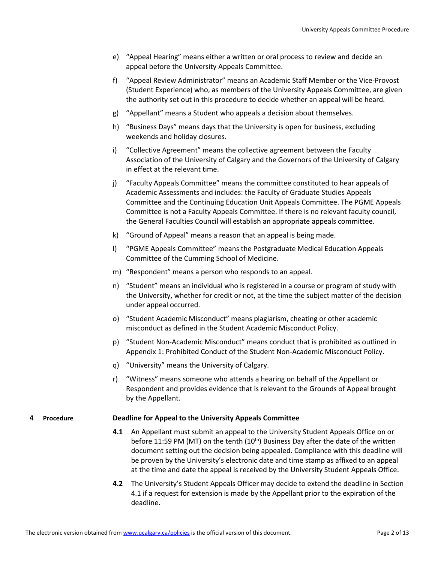- e) "Appeal Hearing" means either a written or oral process to review and decide an appeal before the University Appeals Committee.
- f) "Appeal Review Administrator" means an Academic Staff Member or the Vice-Provost (Student Experience) who, as members of the University Appeals Committee, are given the authority set out in this procedure to decide whether an appeal will be heard.
- g) "Appellant" means a Student who appeals a decision about themselves.
- h) "Business Days" means days that the University is open for business, excluding weekends and holiday closures.
- i) "Collective Agreement" means the collective agreement between the Faculty Association of the University of Calgary and the Governors of the University of Calgary in effect at the relevant time.
- j) "Faculty Appeals Committee" means the committee constituted to hear appeals of Academic Assessments and includes: the Faculty of Graduate Studies Appeals Committee and the Continuing Education Unit Appeals Committee. The PGME Appeals Committee is not a Faculty Appeals Committee. If there is no relevant faculty council, the General Faculties Council will establish an appropriate appeals committee.
- k) "Ground of Appeal" means a reason that an appeal is being made.
- l) "PGME Appeals Committee" means the Postgraduate Medical Education Appeals Committee of the Cumming School of Medicine.
- m) "Respondent" means a person who responds to an appeal.
- n) "Student" means an individual who is registered in a course or program of study with the University, whether for credit or not, at the time the subject matter of the decision under appeal occurred.
- o) "Student Academic Misconduct" means plagiarism, cheating or other academic misconduct as defined in the Student Academic Misconduct Policy.
- p) "Student Non-Academic Misconduct" means conduct that is prohibited as outlined in Appendix 1: Prohibited Conduct of the Student Non-Academic Misconduct Policy.
- q) "University" means the University of Calgary.
- r) "Witness" means someone who attends a hearing on behalf of the Appellant or Respondent and provides evidence that is relevant to the Grounds of Appeal brought by the Appellant.

# <span id="page-1-0"></span>**4 Procedure Deadline for Appeal to the University Appeals Committee**

- **4.1** An Appellant must submit an appeal to the University Student Appeals Office on or before 11:59 PM (MT) on the tenth  $(10<sup>th</sup>)$  Business Day after the date of the written document setting out the decision being appealed. Compliance with this deadline will be proven by the University's electronic date and time stamp as affixed to an appeal at the time and date the appeal is received by the University Student Appeals Office.
- **4.2** The University's Student Appeals Officer may decide to extend the deadline in Section 4.1 if a request for extension is made by the Appellant prior to the expiration of the deadline.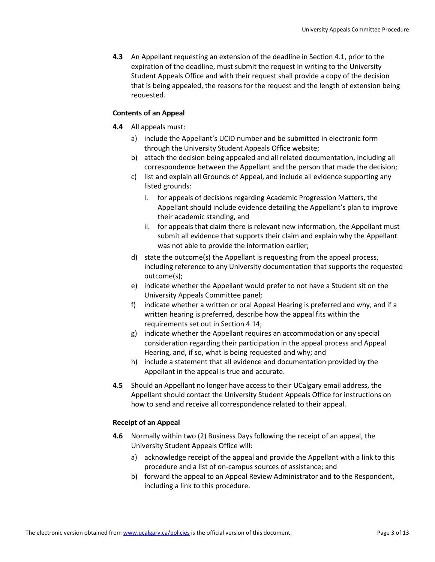**4.3** An Appellant requesting an extension of the deadline in Section 4.1, prior to the expiration of the deadline, must submit the request in writing to the University Student Appeals Office and with their request shall provide a copy of the decision that is being appealed, the reasons for the request and the length of extension being requested.

# **Contents of an Appeal**

- **4.4** All appeals must:
	- a) include the Appellant's UCID number and be submitted in electronic form through the University Student Appeals Office website;
	- b) attach the decision being appealed and all related documentation, including all correspondence between the Appellant and the person that made the decision;
	- c) list and explain all Grounds of Appeal, and include all evidence supporting any listed grounds:
		- i. for appeals of decisions regarding Academic Progression Matters, the Appellant should include evidence detailing the Appellant's plan to improve their academic standing, and
		- ii. for appeals that claim there is relevant new information, the Appellant must submit all evidence that supports their claim and explain why the Appellant was not able to provide the information earlier;
	- d) state the outcome(s) the Appellant is requesting from the appeal process, including reference to any University documentation that supports the requested outcome(s);
	- e) indicate whether the Appellant would prefer to not have a Student sit on the University Appeals Committee panel;
	- f) indicate whether a written or oral Appeal Hearing is preferred and why, and if a written hearing is preferred, describe how the appeal fits within the requirements set out in Section 4.14;
	- g) indicate whether the Appellant requires an accommodation or any special consideration regarding their participation in the appeal process and Appeal Hearing, and, if so, what is being requested and why; and
	- h) include a statement that all evidence and documentation provided by the Appellant in the appeal is true and accurate.
- **4.5** Should an Appellant no longer have access to their UCalgary email address, the Appellant should contact the University Student Appeals Office for instructions on how to send and receive all correspondence related to their appeal.

# **Receipt of an Appeal**

- **4.6** Normally within two (2) Business Days following the receipt of an appeal, the University Student Appeals Office will:
	- a) acknowledge receipt of the appeal and provide the Appellant with a link to this procedure and a list of on-campus sources of assistance; and
	- b) forward the appeal to an Appeal Review Administrator and to the Respondent, including a link to this procedure.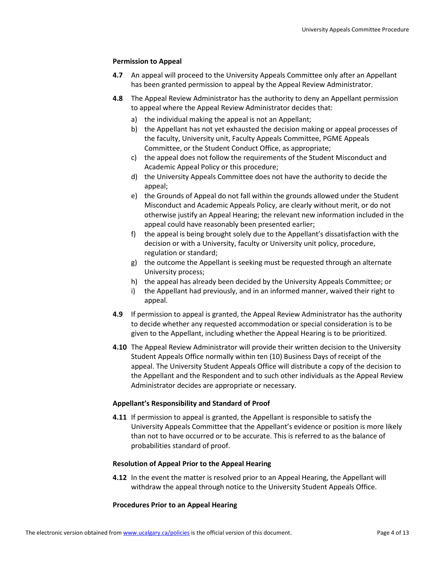# **Permission to Appeal**

- **4.7** An appeal will proceed to the University Appeals Committee only after an Appellant has been granted permission to appeal by the Appeal Review Administrator.
- **4.8** The Appeal Review Administrator has the authority to deny an Appellant permission to appeal where the Appeal Review Administrator decides that:
	- a) the individual making the appeal is not an Appellant;
	- b) the Appellant has not yet exhausted the decision making or appeal processes of the faculty, University unit, Faculty Appeals Committee, PGME Appeals Committee, or the Student Conduct Office, as appropriate;
	- c) the appeal does not follow the requirements of the Student Misconduct and Academic Appeal Policy or this procedure;
	- d) the University Appeals Committee does not have the authority to decide the appeal;
	- e) the Grounds of Appeal do not fall within the grounds allowed under the Student Misconduct and Academic Appeals Policy, are clearly without merit, or do not otherwise justify an Appeal Hearing; the relevant new information included in the appeal could have reasonably been presented earlier;
	- f) the appeal is being brought solely due to the Appellant's dissatisfaction with the decision or with a University, faculty or University unit policy, procedure, regulation or standard;
	- g) the outcome the Appellant is seeking must be requested through an alternate University process;
	- h) the appeal has already been decided by the University Appeals Committee; or
	- i) the Appellant had previously, and in an informed manner, waived their right to appeal.
- **4.9** If permission to appeal is granted, the Appeal Review Administrator has the authority to decide whether any requested accommodation or special consideration is to be given to the Appellant, including whether the Appeal Hearing is to be prioritized.
- **4.10** The Appeal Review Administrator will provide their written decision to the University Student Appeals Office normally within ten (10) Business Days of receipt of the appeal. The University Student Appeals Office will distribute a copy of the decision to the Appellant and the Respondent and to such other individuals as the Appeal Review Administrator decides are appropriate or necessary.

# **Appellant's Responsibility and Standard of Proof**

**4.11** If permission to appeal is granted, the Appellant is responsible to satisfy the University Appeals Committee that the Appellant's evidence or position is more likely than not to have occurred or to be accurate. This is referred to as the balance of probabilities standard of proof.

# **Resolution of Appeal Prior to the Appeal Hearing**

**4.12** In the event the matter is resolved prior to an Appeal Hearing, the Appellant will withdraw the appeal through notice to the University Student Appeals Office.

# **Procedures Prior to an Appeal Hearing**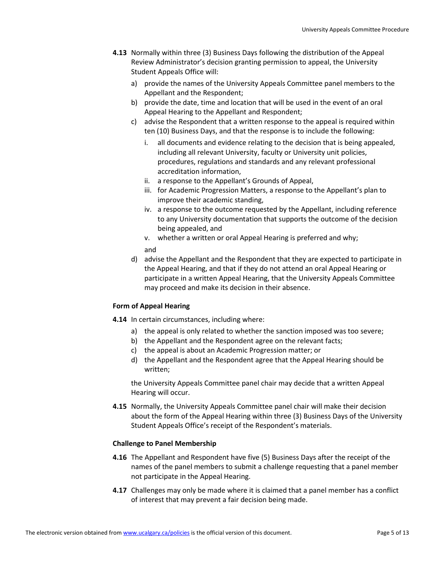- **4.13** Normally within three (3) Business Days following the distribution of the Appeal Review Administrator's decision granting permission to appeal, the University Student Appeals Office will:
	- a) provide the names of the University Appeals Committee panel members to the Appellant and the Respondent;
	- b) provide the date, time and location that will be used in the event of an oral Appeal Hearing to the Appellant and Respondent;
	- c) advise the Respondent that a written response to the appeal is required within ten (10) Business Days, and that the response is to include the following:
		- i. all documents and evidence relating to the decision that is being appealed, including all relevant University, faculty or University unit policies, procedures, regulations and standards and any relevant professional accreditation information,
		- ii. a response to the Appellant's Grounds of Appeal,
		- iii. for Academic Progression Matters, a response to the Appellant's plan to improve their academic standing,
		- iv. a response to the outcome requested by the Appellant, including reference to any University documentation that supports the outcome of the decision being appealed, and
		- v. whether a written or oral Appeal Hearing is preferred and why; and
	- d) advise the Appellant and the Respondent that they are expected to participate in the Appeal Hearing, and that if they do not attend an oral Appeal Hearing or participate in a written Appeal Hearing, that the University Appeals Committee may proceed and make its decision in their absence.

# **Form of Appeal Hearing**

- **4.14** In certain circumstances, including where:
	- a) the appeal is only related to whether the sanction imposed was too severe;
	- b) the Appellant and the Respondent agree on the relevant facts;
	- c) the appeal is about an Academic Progression matter; or
	- d) the Appellant and the Respondent agree that the Appeal Hearing should be written;

the University Appeals Committee panel chair may decide that a written Appeal Hearing will occur.

**4.15** Normally, the University Appeals Committee panel chair will make their decision about the form of the Appeal Hearing within three (3) Business Days of the University Student Appeals Office's receipt of the Respondent's materials.

# **Challenge to Panel Membership**

- **4.16** The Appellant and Respondent have five (5) Business Days after the receipt of the names of the panel members to submit a challenge requesting that a panel member not participate in the Appeal Hearing.
- **4.17** Challenges may only be made where it is claimed that a panel member has a conflict of interest that may prevent a fair decision being made.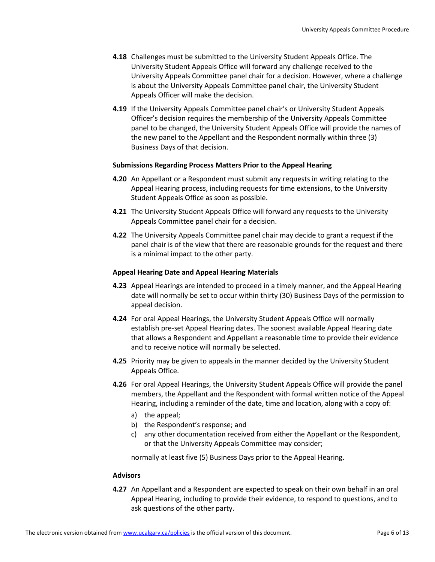- **4.18** Challenges must be submitted to the University Student Appeals Office. The University Student Appeals Office will forward any challenge received to the University Appeals Committee panel chair for a decision. However, where a challenge is about the University Appeals Committee panel chair, the University Student Appeals Officer will make the decision.
- **4.19** If the University Appeals Committee panel chair's or University Student Appeals Officer's decision requires the membership of the University Appeals Committee panel to be changed, the University Student Appeals Office will provide the names of the new panel to the Appellant and the Respondent normally within three (3) Business Days of that decision.

# **Submissions Regarding Process Matters Prior to the Appeal Hearing**

- **4.20** An Appellant or a Respondent must submit any requests in writing relating to the Appeal Hearing process, including requests for time extensions, to the University Student Appeals Office as soon as possible.
- **4.21** The University Student Appeals Office will forward any requests to the University Appeals Committee panel chair for a decision.
- **4.22** The University Appeals Committee panel chair may decide to grant a request if the panel chair is of the view that there are reasonable grounds for the request and there is a minimal impact to the other party.

# **Appeal Hearing Date and Appeal Hearing Materials**

- **4.23** Appeal Hearings are intended to proceed in a timely manner, and the Appeal Hearing date will normally be set to occur within thirty (30) Business Days of the permission to appeal decision.
- **4.24** For oral Appeal Hearings, the University Student Appeals Office will normally establish pre-set Appeal Hearing dates. The soonest available Appeal Hearing date that allows a Respondent and Appellant a reasonable time to provide their evidence and to receive notice will normally be selected.
- **4.25** Priority may be given to appeals in the manner decided by the University Student Appeals Office.
- **4.26** For oral Appeal Hearings, the University Student Appeals Office will provide the panel members, the Appellant and the Respondent with formal written notice of the Appeal Hearing, including a reminder of the date, time and location, along with a copy of:
	- a) the appeal;
	- b) the Respondent's response; and
	- c) any other documentation received from either the Appellant or the Respondent, or that the University Appeals Committee may consider;

normally at least five (5) Business Days prior to the Appeal Hearing.

# **Advisors**

**4.27** An Appellant and a Respondent are expected to speak on their own behalf in an oral Appeal Hearing, including to provide their evidence, to respond to questions, and to ask questions of the other party.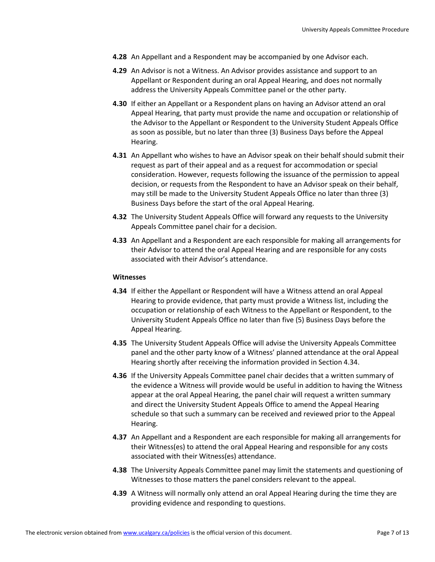- **4.28** An Appellant and a Respondent may be accompanied by one Advisor each.
- **4.29** An Advisor is not a Witness. An Advisor provides assistance and support to an Appellant or Respondent during an oral Appeal Hearing, and does not normally address the University Appeals Committee panel or the other party.
- **4.30** If either an Appellant or a Respondent plans on having an Advisor attend an oral Appeal Hearing, that party must provide the name and occupation or relationship of the Advisor to the Appellant or Respondent to the University Student Appeals Office as soon as possible, but no later than three (3) Business Days before the Appeal Hearing.
- **4.31** An Appellant who wishes to have an Advisor speak on their behalf should submit their request as part of their appeal and as a request for accommodation or special consideration. However, requests following the issuance of the permission to appeal decision, or requests from the Respondent to have an Advisor speak on their behalf, may still be made to the University Student Appeals Office no later than three (3) Business Days before the start of the oral Appeal Hearing.
- **4.32** The University Student Appeals Office will forward any requests to the University Appeals Committee panel chair for a decision.
- **4.33** An Appellant and a Respondent are each responsible for making all arrangements for their Advisor to attend the oral Appeal Hearing and are responsible for any costs associated with their Advisor's attendance.

#### **Witnesses**

- **4.34** If either the Appellant or Respondent will have a Witness attend an oral Appeal Hearing to provide evidence, that party must provide a Witness list, including the occupation or relationship of each Witness to the Appellant or Respondent, to the University Student Appeals Office no later than five (5) Business Days before the Appeal Hearing.
- **4.35** The University Student Appeals Office will advise the University Appeals Committee panel and the other party know of a Witness' planned attendance at the oral Appeal Hearing shortly after receiving the information provided in Section 4.34.
- **4.36** If the University Appeals Committee panel chair decides that a written summary of the evidence a Witness will provide would be useful in addition to having the Witness appear at the oral Appeal Hearing, the panel chair will request a written summary and direct the University Student Appeals Office to amend the Appeal Hearing schedule so that such a summary can be received and reviewed prior to the Appeal Hearing.
- **4.37** An Appellant and a Respondent are each responsible for making all arrangements for their Witness(es) to attend the oral Appeal Hearing and responsible for any costs associated with their Witness(es) attendance.
- **4.38** The University Appeals Committee panel may limit the statements and questioning of Witnesses to those matters the panel considers relevant to the appeal.
- **4.39** A Witness will normally only attend an oral Appeal Hearing during the time they are providing evidence and responding to questions.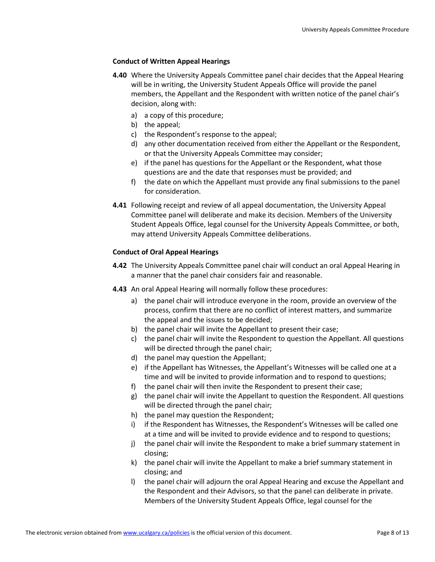# **Conduct of Written Appeal Hearings**

- **4.40** Where the University Appeals Committee panel chair decides that the Appeal Hearing will be in writing, the University Student Appeals Office will provide the panel members, the Appellant and the Respondent with written notice of the panel chair's decision, along with:
	- a) a copy of this procedure;
	- b) the appeal;
	- c) the Respondent's response to the appeal;
	- d) any other documentation received from either the Appellant or the Respondent, or that the University Appeals Committee may consider;
	- e) if the panel has questions for the Appellant or the Respondent, what those questions are and the date that responses must be provided; and
	- f) the date on which the Appellant must provide any final submissions to the panel for consideration.
- **4.41** Following receipt and review of all appeal documentation, the University Appeal Committee panel will deliberate and make its decision. Members of the University Student Appeals Office, legal counsel for the University Appeals Committee, or both, may attend University Appeals Committee deliberations.

# **Conduct of Oral Appeal Hearings**

- **4.42** The University Appeals Committee panel chair will conduct an oral Appeal Hearing in a manner that the panel chair considers fair and reasonable.
- **4.43** An oral Appeal Hearing will normally follow these procedures:
	- a) the panel chair will introduce everyone in the room, provide an overview of the process, confirm that there are no conflict of interest matters, and summarize the appeal and the issues to be decided;
	- b) the panel chair will invite the Appellant to present their case;
	- c) the panel chair will invite the Respondent to question the Appellant. All questions will be directed through the panel chair;
	- d) the panel may question the Appellant;
	- e) if the Appellant has Witnesses, the Appellant's Witnesses will be called one at a time and will be invited to provide information and to respond to questions;
	- f) the panel chair will then invite the Respondent to present their case;
	- g) the panel chair will invite the Appellant to question the Respondent. All questions will be directed through the panel chair;
	- h) the panel may question the Respondent;
	- i) if the Respondent has Witnesses, the Respondent's Witnesses will be called one at a time and will be invited to provide evidence and to respond to questions;
	- j) the panel chair will invite the Respondent to make a brief summary statement in closing;
	- k) the panel chair will invite the Appellant to make a brief summary statement in closing; and
	- l) the panel chair will adjourn the oral Appeal Hearing and excuse the Appellant and the Respondent and their Advisors, so that the panel can deliberate in private. Members of the University Student Appeals Office, legal counsel for the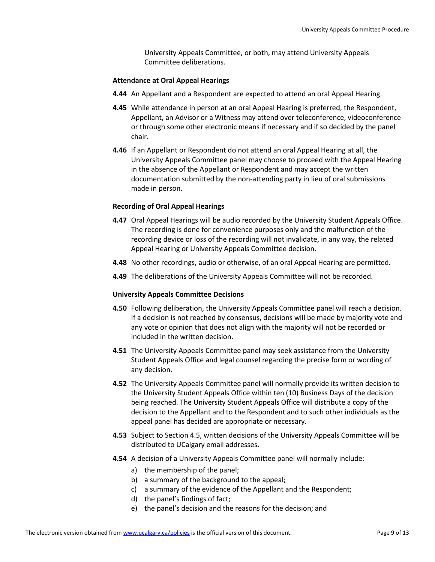University Appeals Committee, or both, may attend University Appeals Committee deliberations.

# **Attendance at Oral Appeal Hearings**

- **4.44** An Appellant and a Respondent are expected to attend an oral Appeal Hearing.
- **4.45** While attendance in person at an oral Appeal Hearing is preferred, the Respondent, Appellant, an Advisor or a Witness may attend over teleconference, videoconference or through some other electronic means if necessary and if so decided by the panel chair.
- **4.46** If an Appellant or Respondent do not attend an oral Appeal Hearing at all, the University Appeals Committee panel may choose to proceed with the Appeal Hearing in the absence of the Appellant or Respondent and may accept the written documentation submitted by the non-attending party in lieu of oral submissions made in person.

# **Recording of Oral Appeal Hearings**

- **4.47** Oral Appeal Hearings will be audio recorded by the University Student Appeals Office. The recording is done for convenience purposes only and the malfunction of the recording device or loss of the recording will not invalidate, in any way, the related Appeal Hearing or University Appeals Committee decision.
- **4.48** No other recordings, audio or otherwise, of an oral Appeal Hearing are permitted.
- **4.49** The deliberations of the University Appeals Committee will not be recorded.

# **University Appeals Committee Decisions**

- **4.50** Following deliberation, the University Appeals Committee panel will reach a decision. If a decision is not reached by consensus, decisions will be made by majority vote and any vote or opinion that does not align with the majority will not be recorded or included in the written decision.
- **4.51** The University Appeals Committee panel may seek assistance from the University Student Appeals Office and legal counsel regarding the precise form or wording of any decision.
- **4.52** The University Appeals Committee panel will normally provide its written decision to the University Student Appeals Office within ten (10) Business Days of the decision being reached. The University Student Appeals Office will distribute a copy of the decision to the Appellant and to the Respondent and to such other individuals as the appeal panel has decided are appropriate or necessary.
- **4.53** Subject to Section 4.5, written decisions of the University Appeals Committee will be distributed to UCalgary email addresses.
- **4.54** A decision of a University Appeals Committee panel will normally include:
	- a) the membership of the panel;
	- b) a summary of the background to the appeal;
	- c) a summary of the evidence of the Appellant and the Respondent;
	- d) the panel's findings of fact;
	- e) the panel's decision and the reasons for the decision; and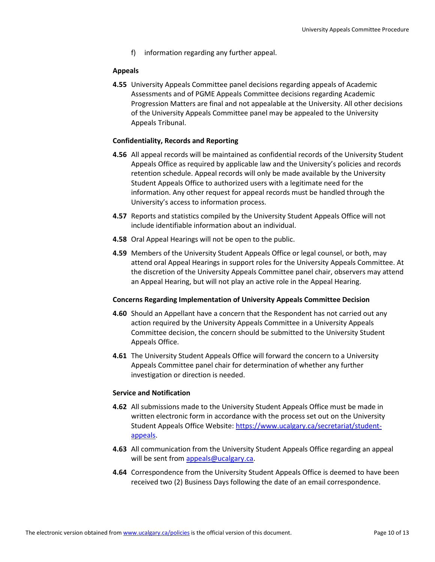f) information regarding any further appeal.

# **Appeals**

**4.55** University Appeals Committee panel decisions regarding appeals of Academic Assessments and of PGME Appeals Committee decisions regarding Academic Progression Matters are final and not appealable at the University. All other decisions of the University Appeals Committee panel may be appealed to the University Appeals Tribunal.

# **Confidentiality, Records and Reporting**

- **4.56** All appeal records will be maintained as confidential records of the University Student Appeals Office as required by applicable law and the University's policies and records retention schedule. Appeal records will only be made available by the University Student Appeals Office to authorized users with a legitimate need for the information. Any other request for appeal records must be handled through the University's access to information process.
- **4.57** Reports and statistics compiled by the University Student Appeals Office will not include identifiable information about an individual.
- **4.58** Oral Appeal Hearings will not be open to the public.
- **4.59** Members of the University Student Appeals Office or legal counsel, or both, may attend oral Appeal Hearings in support roles for the University Appeals Committee. At the discretion of the University Appeals Committee panel chair, observers may attend an Appeal Hearing, but will not play an active role in the Appeal Hearing.

# **Concerns Regarding Implementation of University Appeals Committee Decision**

- **4.60** Should an Appellant have a concern that the Respondent has not carried out any action required by the University Appeals Committee in a University Appeals Committee decision, the concern should be submitted to the University Student Appeals Office.
- **4.61** The University Student Appeals Office will forward the concern to a University Appeals Committee panel chair for determination of whether any further investigation or direction is needed.

# **Service and Notification**

- **4.62** All submissions made to the University Student Appeals Office must be made in written electronic form in accordance with the process set out on the University Student Appeals Office Website: [https://www.ucalgary.ca/secretariat/student](https://www.ucalgary.ca/secretariat/student-appeals)[appeals.](https://www.ucalgary.ca/secretariat/student-appeals)
- **4.63** All communication from the University Student Appeals Office regarding an appeal will be sent from [appeals@ucalgary.ca.](mailto:appeals@ucalgary.ca)
- **4.64** Correspondence from the University Student Appeals Office is deemed to have been received two (2) Business Days following the date of an email correspondence.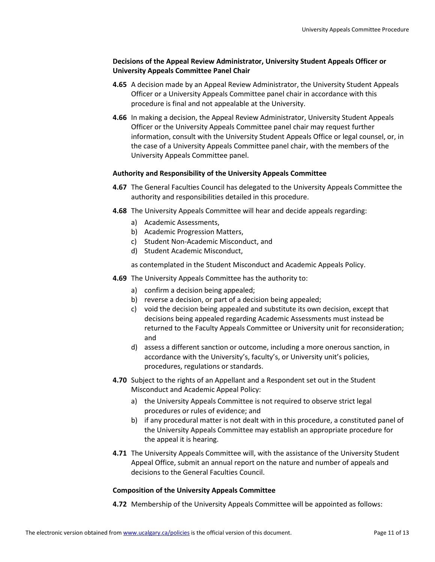# **Decisions of the Appeal Review Administrator, University Student Appeals Officer or University Appeals Committee Panel Chair**

- **4.65** A decision made by an Appeal Review Administrator, the University Student Appeals Officer or a University Appeals Committee panel chair in accordance with this procedure is final and not appealable at the University.
- **4.66** In making a decision, the Appeal Review Administrator, University Student Appeals Officer or the University Appeals Committee panel chair may request further information, consult with the University Student Appeals Office or legal counsel, or, in the case of a University Appeals Committee panel chair, with the members of the University Appeals Committee panel.

# **Authority and Responsibility of the University Appeals Committee**

- **4.67** The General Faculties Council has delegated to the University Appeals Committee the authority and responsibilities detailed in this procedure.
- **4.68** The University Appeals Committee will hear and decide appeals regarding:
	- a) Academic Assessments,
	- b) Academic Progression Matters,
	- c) Student Non-Academic Misconduct, and
	- d) Student Academic Misconduct,

as contemplated in the Student Misconduct and Academic Appeals Policy.

- **4.69** The University Appeals Committee has the authority to:
	- a) confirm a decision being appealed;
	- b) reverse a decision, or part of a decision being appealed;
	- c) void the decision being appealed and substitute its own decision, except that decisions being appealed regarding Academic Assessments must instead be returned to the Faculty Appeals Committee or University unit for reconsideration; and
	- d) assess a different sanction or outcome, including a more onerous sanction, in accordance with the University's, faculty's, or University unit's policies, procedures, regulations or standards.
- **4.70** Subject to the rights of an Appellant and a Respondent set out in the Student Misconduct and Academic Appeal Policy:
	- a) the University Appeals Committee is not required to observe strict legal procedures or rules of evidence; and
	- b) if any procedural matter is not dealt with in this procedure, a constituted panel of the University Appeals Committee may establish an appropriate procedure for the appeal it is hearing.
- **4.71** The University Appeals Committee will, with the assistance of the University Student Appeal Office, submit an annual report on the nature and number of appeals and decisions to the General Faculties Council.

# **Composition of the University Appeals Committee**

**4.72** Membership of the University Appeals Committee will be appointed as follows: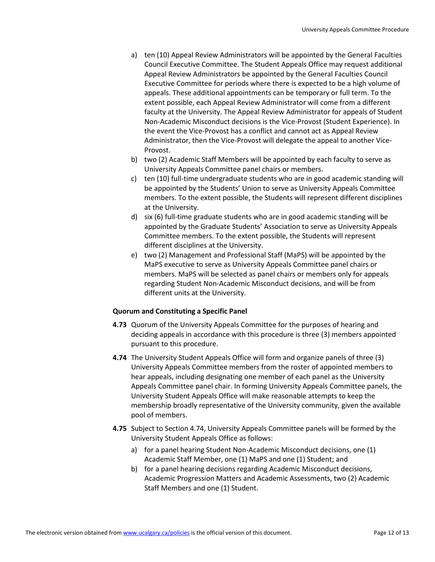- a) ten (10) Appeal Review Administrators will be appointed by the General Faculties Council Executive Committee. The Student Appeals Office may request additional Appeal Review Administrators be appointed by the General Faculties Council Executive Committee for periods where there is expected to be a high volume of appeals. These additional appointments can be temporary or full term. To the extent possible, each Appeal Review Administrator will come from a different faculty at the University. The Appeal Review Administrator for appeals of Student Non-Academic Misconduct decisions is the Vice-Provost (Student Experience). In the event the Vice-Provost has a conflict and cannot act as Appeal Review Administrator, then the Vice-Provost will delegate the appeal to another Vice-Provost.
- b) two (2) Academic Staff Members will be appointed by each faculty to serve as University Appeals Committee panel chairs or members.
- c) ten (10) full-time undergraduate students who are in good academic standing will be appointed by the Students' Union to serve as University Appeals Committee members. To the extent possible, the Students will represent different disciplines at the University.
- d) six (6) full-time graduate students who are in good academic standing will be appointed by the Graduate Students' Association to serve as University Appeals Committee members. To the extent possible, the Students will represent different disciplines at the University.
- e) two (2) Management and Professional Staff (MaPS) will be appointed by the MaPS executive to serve as University Appeals Committee panel chairs or members. MaPS will be selected as panel chairs or members only for appeals regarding Student Non-Academic Misconduct decisions, and will be from different units at the University.

# **Quorum and Constituting a Specific Panel**

- **4.73** Quorum of the University Appeals Committee for the purposes of hearing and deciding appeals in accordance with this procedure is three (3) members appointed pursuant to this procedure.
- **4.74** The University Student Appeals Office will form and organize panels of three (3) University Appeals Committee members from the roster of appointed members to hear appeals, including designating one member of each panel as the University Appeals Committee panel chair. In forming University Appeals Committee panels, the University Student Appeals Office will make reasonable attempts to keep the membership broadly representative of the University community, given the available pool of members.
- **4.75** Subject to Section 4.74, University Appeals Committee panels will be formed by the University Student Appeals Office as follows:
	- a) for a panel hearing Student Non-Academic Misconduct decisions, one (1) Academic Staff Member, one (1) MaPS and one (1) Student; and
	- b) for a panel hearing decisions regarding Academic Misconduct decisions, Academic Progression Matters and Academic Assessments, two (2) Academic Staff Members and one (1) Student.